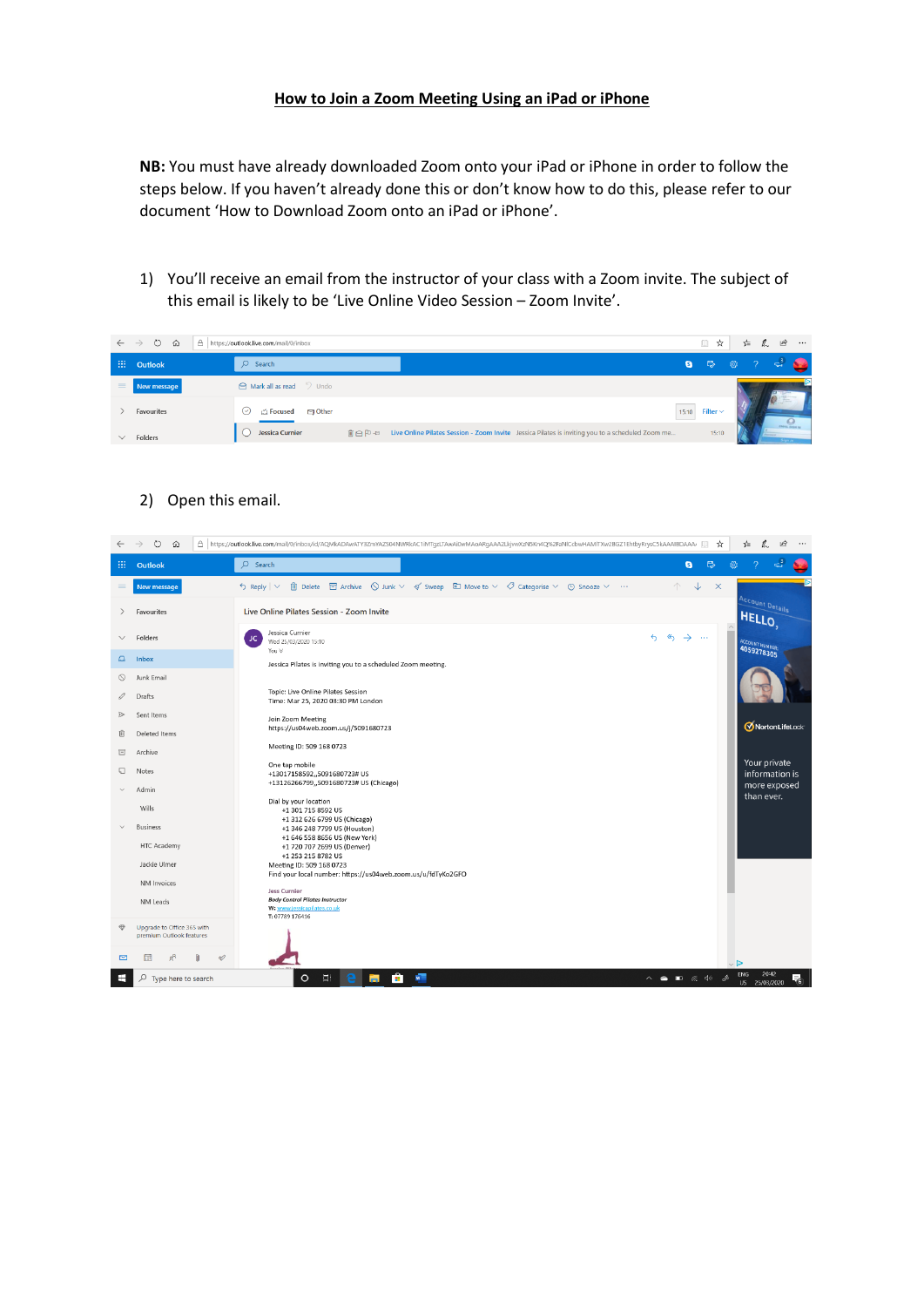## **How to Join a Zoom Meeting Using an iPad or iPhone**

**NB:** You must have already downloaded Zoom onto your iPad or iPhone in order to follow the steps below. If you haven't already done this or don't know how to do this, please refer to our document 'How to Download Zoom onto an iPad or iPhone'.

1) You'll receive an email from the instructor of your class with a Zoom invite. The subject of this email is likely to be 'Live Online Video Session – Zoom Invite'.

|          | $\leftarrow \rightarrow \circ \circ \circ$ | △ https://outlook.live.com/mail/0/inbox                    |                                                                                                          | □ ☆                 | <b>☆ 么 ! ☆ …</b> |   |  |
|----------|--------------------------------------------|------------------------------------------------------------|----------------------------------------------------------------------------------------------------------|---------------------|------------------|---|--|
|          | $\frac{1}{2}$ Outlook                      | $O$ Search                                                 |                                                                                                          | $\bullet$ $\bullet$ |                  |   |  |
| $\equiv$ | New message                                | A Mark all as read D Undo                                  |                                                                                                          |                     |                  |   |  |
|          | Favourites                                 | <b>Solution</b><br><b>Exercised</b><br>$\left(\vee\right)$ |                                                                                                          | 15:10 Filter $\sim$ |                  | O |  |
|          | $\vee$ Folders                             | Jessica Curnier                                            | m e P + tive Online Pilates Session - Zoom Invite Jessica Pilates is inviting you to a scheduled Zoom me | 15:10               |                  |   |  |

## 2) Open this email.

|               | $\circ$<br>仚                                           | A https://outlook.live.com/mail/0/inbox/id/AQMkADAwATY3ZmYAZS04NWRkAC1iMTgzLTAwAi0wMAoARgAAA2LkjvwXzN5Kn4Q%2FaNlCcbwHAMITXw2BGZ1EhtbyRrysC5kAAAIBDAAA/                                                           | ☆                                                            | 岭<br>☆<br>0.<br>$\cdots$            |
|---------------|--------------------------------------------------------|------------------------------------------------------------------------------------------------------------------------------------------------------------------------------------------------------------------|--------------------------------------------------------------|-------------------------------------|
| 扭             | Outlook                                                | $O$ Search                                                                                                                                                                                                       | $E_{\!\!\scriptscriptstyle\chi}$<br>$\mathbf{g}$             | දසු                                 |
| $\equiv$      | New message                                            | <b>iii</b> Delete and Archive $\bigcirc$ Junk $\vee$ $\preccurlyeq$ Sweep $\bigcirc$ Move to $\vee$ $\heartsuit$ Categorise $\vee$ $\heartsuit$ Snooze $\vee$ $\cdots$<br>$\frac{1}{2}$ Reply $\vert \vee \vert$ | $\downarrow$<br>个<br>$\mathsf{X}$                            |                                     |
| $\rightarrow$ | Favourites                                             | Live Online Pilates Session - Zoom Invite                                                                                                                                                                        |                                                              | <b>Account Details</b><br>HELLO,    |
| $\checkmark$  | Folders                                                | Jessica Curnier<br>JC<br>Wed 25/03/2020 15:10                                                                                                                                                                    | $\mathcal{L}$<br>$\leftrightarrow$<br>$\rightarrow$ $\cdots$ | ACCOUNT NUMBER: 4059278305          |
| $\Delta$      | Inbox                                                  | You $\ll$<br>Jessica Pilates is inviting you to a scheduled Zoom meeting.                                                                                                                                        |                                                              |                                     |
| $\circ$       | Junk Email                                             |                                                                                                                                                                                                                  |                                                              |                                     |
|               | Drafts                                                 | Topic: Live Online Pilates Session<br>Time: Mar 25, 2020 03:30 PM London                                                                                                                                         |                                                              |                                     |
|               | Sent Items                                             | Join Zoom Meeting                                                                                                                                                                                                |                                                              |                                     |
| 而             | Deleted Items                                          | https://us04web.zoom.us/j/5091680723                                                                                                                                                                             |                                                              | MortonLifeLock                      |
| 冒             | Archive                                                | Meeting ID: 509 168 0723                                                                                                                                                                                         |                                                              |                                     |
| ⊡             | Notes                                                  | One tap mobile<br>+13017158592,,5091680723# US                                                                                                                                                                   |                                                              | Your private<br>information is      |
|               | Admin                                                  | +13126266799,,5091680723# US (Chicago)                                                                                                                                                                           |                                                              | more exposed<br>than ever.          |
|               | Wills                                                  | Dial by your location<br>+1 301 715 8592 US<br>+1 312 626 6799 US (Chicago)                                                                                                                                      |                                                              |                                     |
|               | <b>Business</b>                                        | +1 346 248 7799 US (Houston)<br>+1 646 558 8656 US (New York)                                                                                                                                                    |                                                              |                                     |
|               | HTC Academy                                            | +1 720 707 2699 US (Denver)                                                                                                                                                                                      |                                                              |                                     |
|               | Jackie Ulmer                                           | +1 253 215 8782 US<br>Meeting ID: 509 168 0723                                                                                                                                                                   |                                                              |                                     |
|               | NM Invoices                                            | Find your local number: https://us04web.zoom.us/u/fdTyKo2GFO                                                                                                                                                     |                                                              |                                     |
|               | NM Leads                                               | Jess Curnier<br><b>Body Control Pilates Instructor</b><br>W: www.jessicapilates.co.uk<br>T: 07789 176416                                                                                                         |                                                              |                                     |
| $\oplus$      | Upgrade to Office 365 with<br>premium Outlook features |                                                                                                                                                                                                                  |                                                              |                                     |
| 罓             | $\mathscr{D}$                                          |                                                                                                                                                                                                                  |                                                              | $\vee$ D                            |
|               | $\circ$<br>Type here to search                         | Ĥ.<br>$\sqrt{2}$<br>量<br>$\circ$<br>m.                                                                                                                                                                           | $\wedge$ $\bullet$ $\blacksquare$ $\qquad \qquad \emptyset$  | 20:42<br>ENG<br>₹.<br>US 25/03/2020 |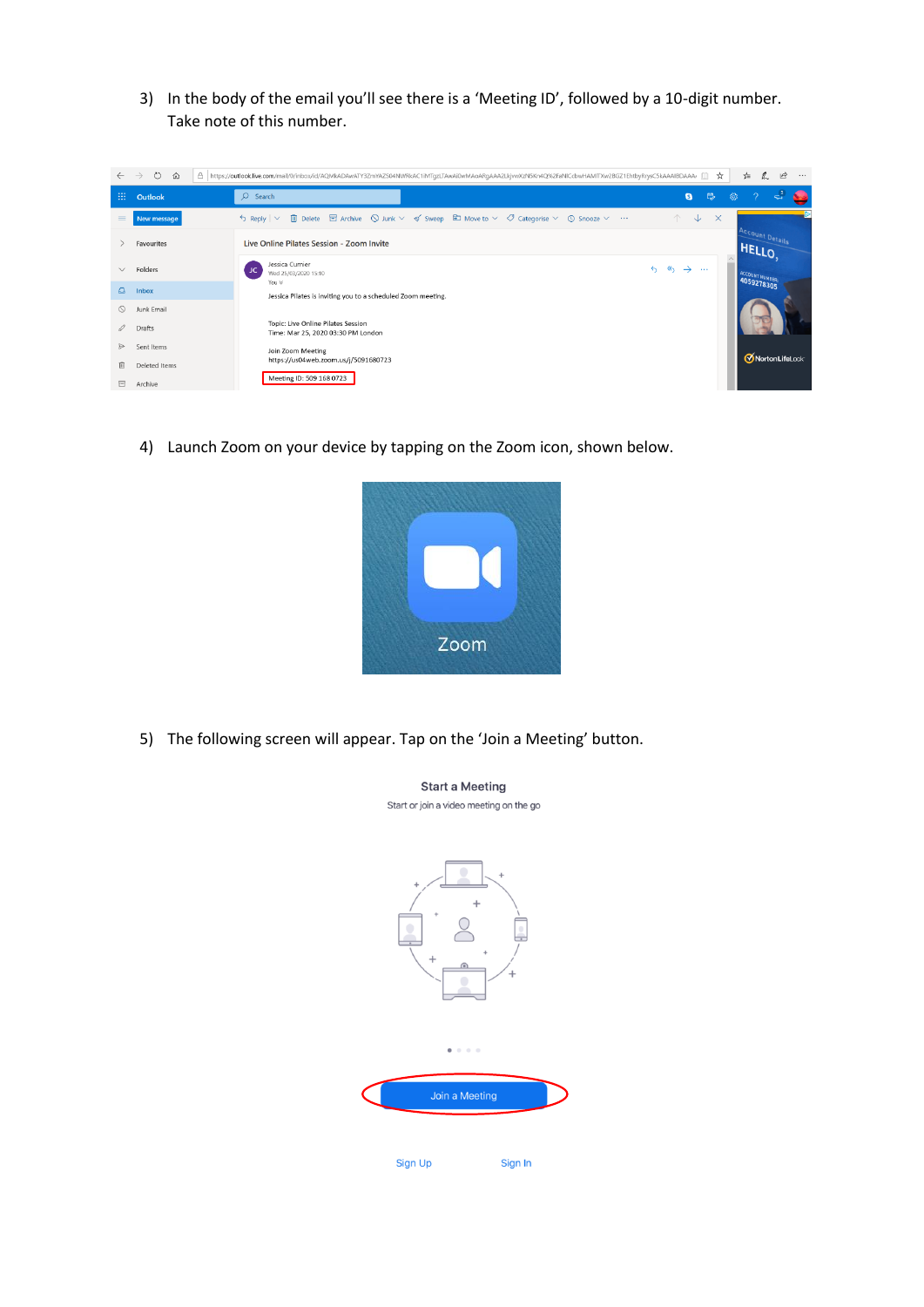3) In the body of the email you'll see there is a 'Meeting ID', followed by a 10-digit number. Take note of this number.



4) Launch Zoom on your device by tapping on the Zoom icon, shown below.



**Start a Meeting** 

5) The following screen will appear. Tap on the 'Join a Meeting' button.

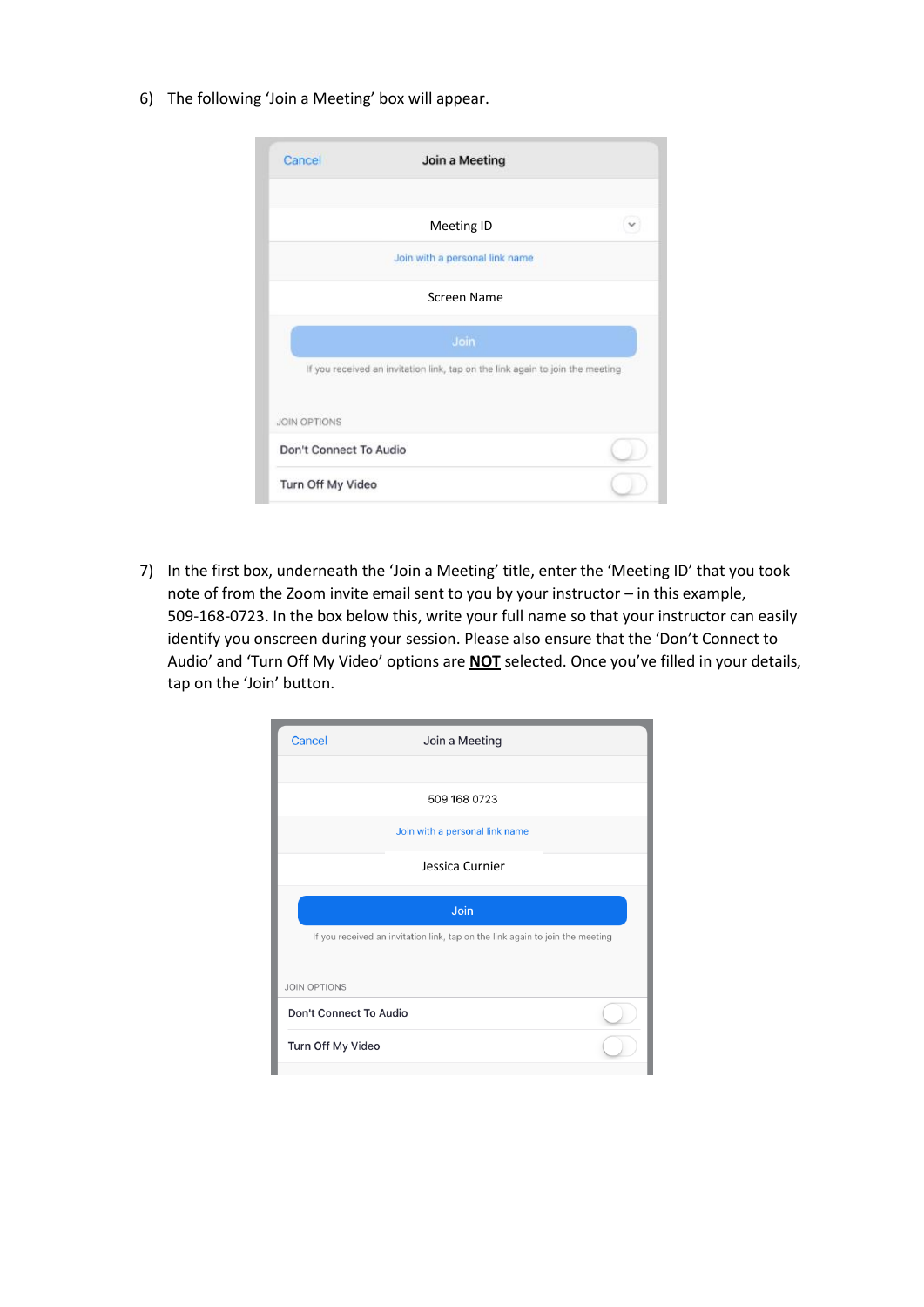6) The following 'Join a Meeting' box will appear.

| Cancel                 | Join a Meeting                                                                |  |
|------------------------|-------------------------------------------------------------------------------|--|
|                        | Meeting ID                                                                    |  |
|                        | Join with a personal link name                                                |  |
|                        | Screen Name                                                                   |  |
|                        | Join                                                                          |  |
|                        | If you received an invitation link, tap on the link again to join the meeting |  |
| <b>JOIN OPTIONS</b>    |                                                                               |  |
| Don't Connect To Audio |                                                                               |  |
| Turn Off My Video      |                                                                               |  |

7) In the first box, underneath the 'Join a Meeting' title, enter the 'Meeting ID' that you took note of from the Zoom invite email sent to you by your instructor – in this example, 509-168-0723. In the box below this, write your full name so that your instructor can easily identify you onscreen during your session. Please also ensure that the 'Don't Connect to Audio' and 'Turn Off My Video' options are **NOT** selected. Once you've filled in your details, tap on the 'Join' button.

| Cancel                                                                        | Join a Meeting                 |  |  |  |  |
|-------------------------------------------------------------------------------|--------------------------------|--|--|--|--|
|                                                                               |                                |  |  |  |  |
|                                                                               | 509 168 0723                   |  |  |  |  |
|                                                                               | Join with a personal link name |  |  |  |  |
|                                                                               | Jessica Curnier                |  |  |  |  |
| Join                                                                          |                                |  |  |  |  |
| If you received an invitation link, tap on the link again to join the meeting |                                |  |  |  |  |
| <b>JOIN OPTIONS</b>                                                           |                                |  |  |  |  |
| Don't Connect To Audio                                                        |                                |  |  |  |  |
| Turn Off My Video                                                             |                                |  |  |  |  |
|                                                                               |                                |  |  |  |  |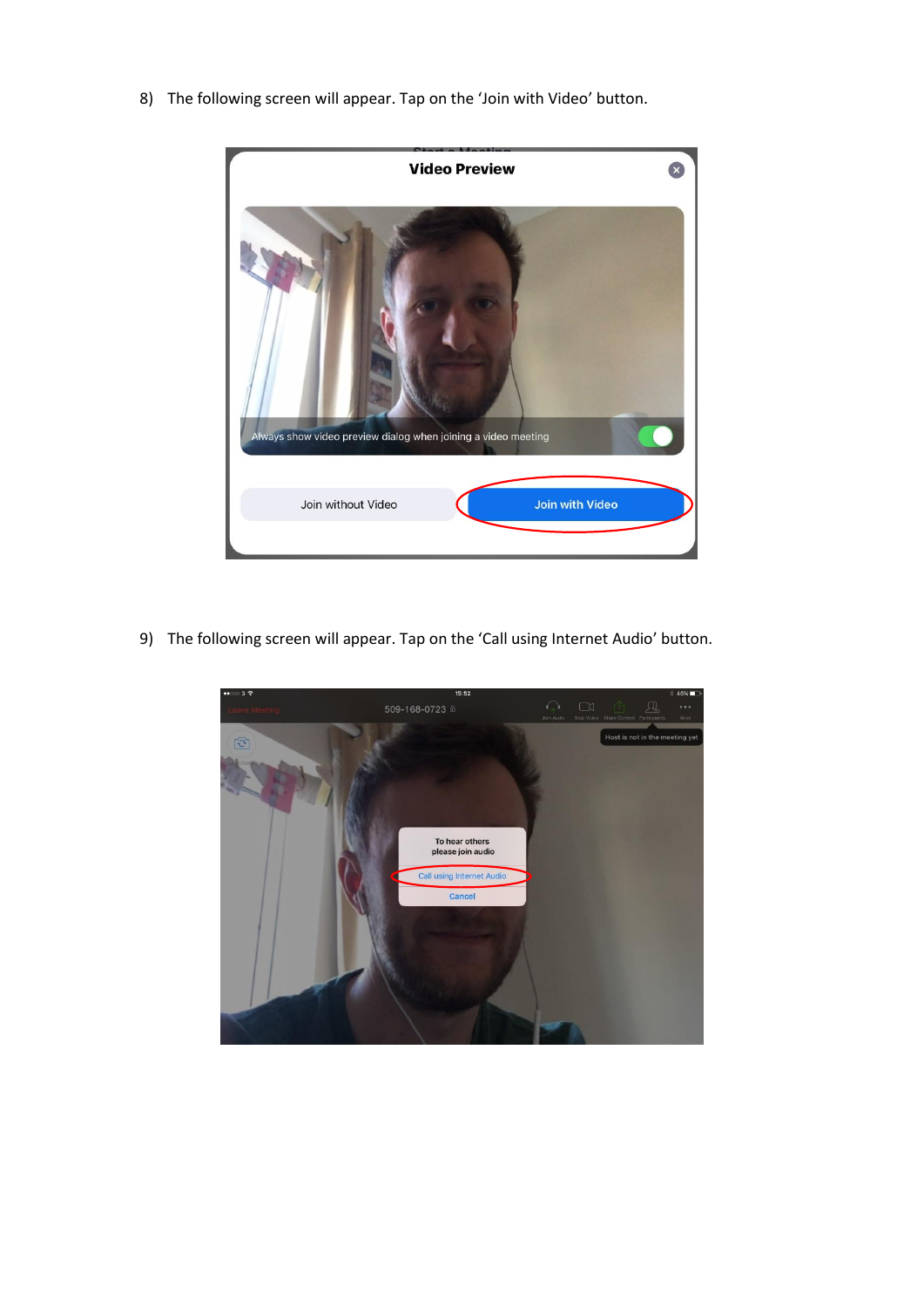8) The following screen will appear. Tap on the 'Join with Video' button.



9) The following screen will appear. Tap on the 'Call using Internet Audio' button.